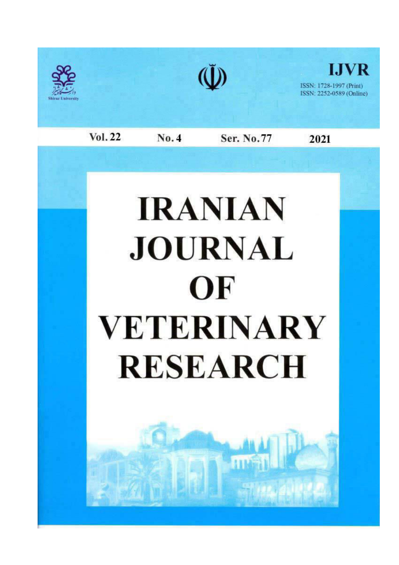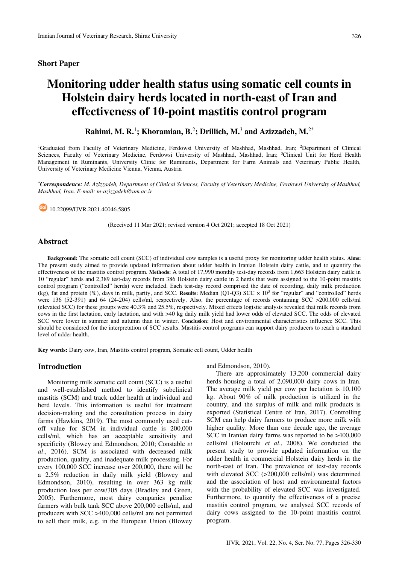### **Short Paper**

# Monitoring udder health status using somatic cell counts in Holstein dairy herds located in north-east of Iran and effectiveness of 10-point mastitis control program

Rahimi, M. R.<sup>1</sup>; Khoramian, B.<sup>2</sup>; Drillich, M.<sup>3</sup> and Azizzadeh, M.<sup>2\*</sup>

<sup>1</sup>Graduated from Faculty of Veterinary Medicine, Ferdowsi University of Mashhad, Mashhad, Iran; <sup>2</sup>Department of Clinical Sciences, Faculty of Veterinary Medicine, Ferdowsi University of Mashhad, Mashhad, Iran; <sup>3</sup>Clinical Unit for Herd Health Management in Ruminants, University Clinic for Ruminants, Department for Farm Animals and Veterinary Public Health, University of Veterinary Medicine Vienna, Vienna, Austria

\*Correspondence: M. Azizzadeh, Department of Clinical Sciences, Faculty of Veterinary Medicine, Ferdowsi University of Mashhad, Mashhad, Iran. E-mail: m-azizzadeh@um.ac.ir

dol 10.22099/IJVR.2021.40046.5805

(Received 11 Mar 2021; revised version 4 Oct 2021; accepted 18 Oct 2021)

### **Abstract**

Background: The somatic cell count (SCC) of individual cow samples is a useful proxy for monitoring udder health status. Aims: The present study aimed to provide updated information about udder health in Iranian Holstein dairy cattle, and to quantify the effectiveness of the mastitis control program. Methods: A total of 17,990 monthly test-day records from 1,663 Holstein dairy cattle in 10 "regular" herds and 2,389 test-day records from 386 Holstein dairy cattle in 2 herds that were assigned to the 10-point mastitis control program ("controlled" herds) were included. Each test-day record comprised the date of recording, daily milk production (kg), fat and protein (%), days in milk, parity, and SCC. Results: Median (Q1-Q3) SCC  $\times$  10<sup>3</sup> for "regular" and "controlled" herds were 136 (52-391) and 64 (24-204) cells/ml, respectively. Also, the percentage of records containing SCC  $>200,000$  cells/ml (elevated SCC) for these groups were 40.3% and 25.5%, respectively. Mixed effects logistic analysis revealed that milk records from cows in the first lactation, early lactation, and with >40 kg daily milk yield had lower odds of elevated SCC. The odds of elevated SCC were lower in summer and autumn than in winter. Conclusion: Host and environmental characteristics influence SCC. This should be considered for the interpretation of SCC results. Mastitis control programs can support dairy producers to reach a standard level of udder health.

Key words: Dairy cow, Iran, Mastitis control program, Somatic cell count, Udder health

# **Introduction**

Monitoring milk somatic cell count (SCC) is a useful and well-established method to identify subclinical mastitis (SCM) and track udder health at individual and herd levels. This information is useful for treatment decision-making and the consultation process in dairy farms (Hawkins, 2019). The most commonly used cutoff value for SCM in individual cattle is 200,000 cells/ml, which has an acceptable sensitivity and specificity (Blowey and Edmondson, 2010; Constable et al., 2016). SCM is associated with decreased milk production, quality, and inadequate milk processing. For every 100,000 SCC increase over 200,000, there will be a 2.5% reduction in daily milk yield (Blowey and Edmondson, 2010), resulting in over 363 kg milk production loss per cow/305 days (Bradley and Green, 2005). Furthermore, most dairy companies penalize farmers with bulk tank SCC above 200,000 cells/ml, and producers with SCC >400,000 cells/ml are not permitted to sell their milk, e.g. in the European Union (Blowey and Edmondson, 2010).

There are approximately 13,200 commercial dairy herds housing a total of 2,090,000 dairy cows in Iran. The average milk yield per cow per lactation is 10,100 kg. About 90% of milk production is utilized in the country, and the surplus of milk and milk products is exported (Statistical Centre of Iran, 2017). Controlling SCM can help dairy farmers to produce more milk with higher quality. More than one decade ago, the average SCC in Iranian dairy farms was reported to be >400,000 cells/ml (Bolourchi et al., 2008). We conducted the present study to provide updated information on the udder health in commercial Holstein dairy herds in the north-east of Iran. The prevalence of test-day records with elevated SCC  $(>200,000 \text{ cells/ml})$  was determined and the association of host and environmental factors with the probability of elevated SCC was investigated. Furthermore, to quantify the effectiveness of a precise mastitis control program, we analysed SCC records of dairy cows assigned to the 10-point mastitis control program.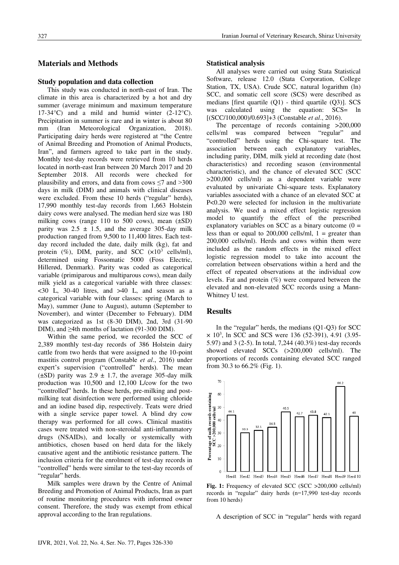# **Materials and Methods**

#### Study population and data collection

This study was conducted in north-east of Iran. The climate in this area is characterized by a hot and dry summer (average minimum and maximum temperature 17-34 °C) and a mild and humid winter  $(2-12$  °C). Precipitation in summer is rare and in winter is about 80 (Iran Meteorological Organization, mm 2018). Participating dairy herds were registered at "the Centre of Animal Breeding and Promotion of Animal Products, Iran", and farmers agreed to take part in the study. Monthly test-day records were retrieved from 10 herds located in north-east Iran between 20 March 2017 and 20 September 2018. All records were checked for plausibility and errors, and data from cows  $\leq$  and  $>$ 300 days in milk (DIM) and animals with clinical diseases were excluded. From these 10 herds ("regular" herds), 17,990 monthly test-day records from 1,663 Holstein dairy cows were analysed. The median herd size was 180 milking cows (range 110 to 500 cows), mean  $(\pm SD)$ parity was  $2.5 \pm 1.5$ , and the average 305-day milk production ranged from 9,500 to 11,400 litres. Each testday record included the date, daily milk (kg), fat and protein  $(\%)$ , DIM, parity, and SCC  $(x10^3 \text{ cells/ml})$ , determined using Fossomatic 5000 (Foss Electric, Hillerød, Denmark). Parity was coded as categorical variable (primiparous and multiparous cows), mean daily milk yield as a categorical variable with three classes:  $<30$  L, 30-40 litres, and  $>40$  L, and season as a categorical variable with four classes: spring (March to May), summer (June to August), autumn (September to November), and winter (December to February). DIM was categorized as 1st (8-30 DIM), 2nd, 3rd (31-90) DIM), and  $>4$ th months of lactation (91-300 DIM).

Within the same period, we recorded the SCC of 2,389 monthly test-day records of 386 Holstein dairy cattle from two herds that were assigned to the 10-point mastitis control program (Constable et al., 2016) under expert's supervision ("controlled" herds). The mean  $(\pm SD)$  parity was 2.9  $\pm$  1.7, the average 305-day milk production was 10,500 and 12,100 L/cow for the two "controlled" herds. In these herds, pre-milking and postmilking teat disinfection were performed using chloride and an iodine based dip, respectively. Teats were dried with a single service paper towel. A blind dry cow therapy was performed for all cows. Clinical mastitis cases were treated with non-steroidal anti-inflammatory drugs (NSAIDs), and locally or systemically with antibiotics, chosen based on herd data for the likely causative agent and the antibiotic resistance pattern. The inclusion criteria for the enrolment of test-day records in "controlled" herds were similar to the test-day records of "regular" herds.

Milk samples were drawn by the Centre of Animal Breeding and Promotion of Animal Products, Iran as part of routine monitoring procedures with informed owner consent. Therefore, the study was exempt from ethical approval according to the Iran regulations.

#### **Statistical analysis**

All analyses were carried out using Stata Statistical Software, release 12.0 (Stata Corporation, College Station, TX, USA). Crude SCC, natural logarithm (ln) SCC, and somatic cell score (SCS) were described as medians [first quartile  $(Q1)$  - third quartile  $(Q3)$ ]. SCS was calculated using the equation: SCS= ln  $[(SCC/100,000)/0.693]+3$  (Constable et al., 2016).

The percentage of records containing  $>200,000$ and cells/ml was compared between "regular" "controlled" herds using the Chi-square test. The association between each explanatory variables, including parity, DIM, milk yield at recording date (host characteristics) and recording season (environmental characteristic), and the chance of elevated SCC (SCC >200,000 cells/ml) as a dependent variable were evaluated by univariate Chi-square tests. Explanatory variables associated with a chance of an elevated SCC at P<0.20 were selected for inclusion in the multivariate analysis. We used a mixed effect logistic regression model to quantify the effect of the prescribed explanatory variables on SCC as a binary outcome  $(0 =$ less than or equal to 200,000 cells/ml,  $1 =$  greater than 200,000 cells/ml). Herds and cows within them were included as the random effects in the mixed effect logistic regression model to take into account the correlation between observations within a herd and the effect of repeated observations at the individual cow levels. Fat and protein  $(\%)$  were compared between the elevated and non-elevated SCC records using a Mann-Whitney U test.

# **Results**

In the "regular" herds, the medians (O1-O3) for SCC  $\times$  10<sup>3</sup>, ln SCC and SCS were 136 (52-391), 4.91 (3.95-5.97) and 3 (2-5). In total, 7,244 (40.3%) test-day records showed elevated SCCs (>200,000 cells/ml). The proportions of records containing elevated SCC ranged from 30.3 to  $66.2\%$  (Fig. 1).



Fig. 1: Frequency of elevated SCC (SCC >200,000 cells/ml) records in "regular" dairy herds (n=17,990 test-day records from 10 herds)

A description of SCC in "regular" herds with regard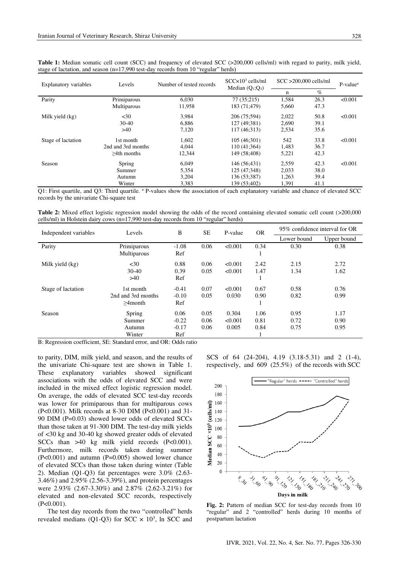| Explanatory variables | Levels             | Number of tested records | $SCC \times 10^3$ cells/ml<br>Median $(O_1; O_3)$ | $SCC > 200,000$ cells/ml |      | $P-valuea$ |
|-----------------------|--------------------|--------------------------|---------------------------------------------------|--------------------------|------|------------|
|                       |                    |                          |                                                   | n                        | $\%$ |            |
| Parity                | Primiparous        | 6,030                    | 77 (35:215)                                       | 1,584                    | 26.3 | < 0.001    |
|                       | Multiparous        | 11,958                   | 183 (71;479)                                      | 5,660                    | 47.3 |            |
| Milk yield (kg)       | $30$               | 3.984                    | 206 (75:594)                                      | 2,022                    | 50.8 | < 0.001    |
|                       | $30-40$            | 6.886                    | 127 (49:381)                                      | 2,690                    | 39.1 |            |
|                       | >40                | 7,120                    | 117 (46:313)                                      | 2,534                    | 35.6 |            |
| Stage of lactation    | 1st month          | 1,602                    | 105(46:301)                                       | 542                      | 33.8 | < 0.001    |
|                       | 2nd and 3rd months | 4.044                    | 110 (41:364)                                      | 1,483                    | 36.7 |            |
|                       | $>4th$ months      | 12,344                   | 149 (58:408)                                      | 5,221                    | 42.3 |            |
| Season                | Spring             | 6.049                    | 146 (56:431)                                      | 2,559                    | 42.3 | < 0.001    |
|                       | Summer             | 5,354                    | 125 (47:348)                                      | 2,033                    | 38.0 |            |
|                       | Autumn             | 3,204                    | 136 (53:387)                                      | 1,263                    | 39.4 |            |
|                       | Winter             | 3,383                    | 139 (53:402)                                      | 1,391                    | 41.1 |            |

Table 1: Median somatic cell count (SCC) and frequency of elevated SCC (>200,000 cells/ml) with regard to parity, milk yield, stage of lactation, and season (n=17,990 test-day records from 10 "regular" herds)

 $\overline{Q}$ 1: First quartile, and Q3: Third quartile.  $a$  P-values show the association of each explanatory variable and chance of elevated SCC records by the univariate Chi-square test

Table 2: Mixed effect logistic regression model showing the odds of the record containing elevated somatic cell count (>200,000 cells/ml) in Holstein dairy cows (n=17,990 test-day records from 10 "regular" herds)

| Independent variables | Levels             | B       | <b>SE</b> | P-value | <b>OR</b> | 95% confidence interval for OR |             |
|-----------------------|--------------------|---------|-----------|---------|-----------|--------------------------------|-------------|
|                       |                    |         |           |         |           | Lower bound                    | Upper bound |
| Parity                | Primiparous        | $-1.08$ | 0.06      | < 0.001 | 0.34      | 0.30                           | 0.38        |
|                       | Multiparous        | Ref     |           |         |           |                                |             |
| Milk yield (kg)       | $30$               | 0.88    | 0.06      | < 0.001 | 2.42      | 2.15                           | 2.72        |
|                       | $30-40$            | 0.39    | 0.05      | < 0.001 | 1.47      | 1.34                           | 1.62        |
|                       | >40                | Ref     |           |         |           |                                |             |
| Stage of lactation    | 1st month          | $-0.41$ | 0.07      | < 0.001 | 0.67      | 0.58                           | 0.76        |
|                       | 2nd and 3rd months | $-0.10$ | 0.05      | 0.030   | 0.90      | 0.82                           | 0.99        |
|                       | $>4$ month         | Ref     |           |         |           |                                |             |
| Season                | Spring             | 0.06    | 0.05      | 0.304   | 1.06      | 0.95                           | 1.17        |
|                       | Summer             | $-0.22$ | 0.06      | < 0.001 | 0.81      | 0.72                           | 0.90        |
|                       | Autumn             | $-0.17$ | 0.06      | 0.005   | 0.84      | 0.75                           | 0.95        |
|                       | Winter             | Ref     |           |         |           |                                |             |

B: Regression coefficient, SE: Standard error, and OR: Odds ratio

to parity, DIM, milk yield, and season, and the results of the univariate Chi-square test are shown in Table 1. These explanatory variables showed significant associations with the odds of elevated SCC and were included in the mixed effect logistic regression model. On average, the odds of elevated SCC test-day records was lower for primiparous than for multiparous cows (P<0.001). Milk records at 8-30 DIM (P<0.001) and 31-90 DIM (P=0.03) showed lower odds of elevated SCCs than those taken at 91-300 DIM. The test-day milk yields of <30 kg and 30-40 kg showed greater odds of elevated SCCs than  $>40$  kg milk yield records (P<0.001). Furthermore, milk records taken during summer  $(P<0.001)$  and autumn  $(P=0.005)$  showed lower chance of elevated SCCs than those taken during winter (Table 2). Median (Q1-Q3) fat percentages were 3.0% (2.63-3.46%) and 2.95% (2.56-3.39%), and protein percentages were 2.93% (2.67-3.30%) and 2.87% (2.62-3.21%) for elevated and non-elevated SCC records, respectively  $(P<0.001)$ .

The test day records from the two "controlled" herds revealed medians (Q1-Q3) for SCC  $\times$  10<sup>3</sup>, ln SCC and SCS of 64 (24-204), 4.19 (3.18-5.31) and 2 (1-4), respectively, and  $609$  (25.5%) of the records with SCC



Fig. 2: Pattern of median SCC for test-day records from 10 "regular" and 2 "controlled" herds during 10 months of postpartum lactation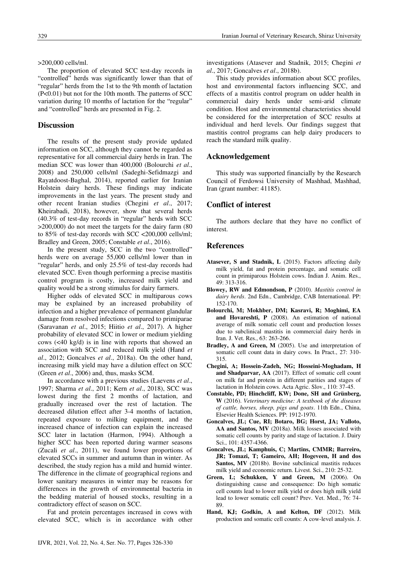$>200,000$  cells/ml.

The proportion of elevated SCC test-day records in "controlled" herds was significantly lower than that of "regular" herds from the 1st to the 9th month of lactation  $(P<0.01)$  but not for the 10th month. The patterns of SCC variation during 10 months of lactation for the "regular" and "controlled" herds are presented in Fig. 2.

## **Discussion**

The results of the present study provide updated information on SCC, although they cannot be regarded as representative for all commercial dairy herds in Iran. The median SCC was lower than 400,000 (Bolourchi et al., 2008) and 250,000 cells/ml (Sadeghi-Sefidmazgi and Rayatdoost-Baghal, 2014), reported earlier for Iranian Holstein dairy herds. These findings may indicate improvements in the last years. The present study and other recent Iranian studies (Chegini et al., 2017; Kheirabadi, 2018), however, show that several herds (40.3% of test-day records in "regular" herds with SCC  $>200,000$ ) do not meet the targets for the dairy farm (80) to 85% of test-day records with SCC <200,000 cells/ml; Bradley and Green, 2005; Constable et al., 2016).

In the present study, SCC in the two "controlled" herds were on average 55,000 cells/ml lower than in "regular" herds, and only 25.5% of test-day records had elevated SCC. Even though performing a precise mastitis control program is costly, increased milk yield and quality would be a strong stimulus for dairy farmers.

Higher odds of elevated SCC in multiparous cows may be explained by an increased probability of infection and a higher prevalence of permanent glandular damage from resolved infections compared to primiparae (Saravanan et al., 2015; Hiitio et al., 2017). A higher probability of elevated SCC in lower or medium yielding cows  $(\leq 40 \text{ kg/d})$  is in line with reports that showed an association with SCC and reduced milk yield (Hand et al., 2012; Goncalves et al., 2018a). On the other hand, increasing milk vield may have a dilution effect on SCC (Green et al., 2006) and, thus, masks SCM.

In accordance with a previous studies (Laevens et al., 1997; Sharma et al., 2011; Kern et al., 2018), SCC was lowest during the first 2 months of lactation, and gradually increased over the rest of lactation. The decreased dilution effect after 3-4 months of lactation, repeated exposure to milking equipment, and the increased chance of infection can explain the increased SCC later in lactation (Harmon, 1994). Although a higher SCC has been reported during warmer seasons (Zucali et al., 2011), we found lower proportions of elevated SCCs in summer and autumn than in winter. As described, the study region has a mild and humid winter. The difference in the climate of geographical regions and lower sanitary measures in winter may be reasons for differences in the growth of environmental bacteria in the bedding material of housed stocks, resulting in a contradictory effect of season on SCC.

Fat and protein percentages increased in cows with elevated SCC, which is in accordance with other investigations (Atasever and Stadnik, 2015; Chegini et al., 2017; Goncalves et al., 2018b).

This study provides information about SCC profiles, host and environmental factors influencing SCC, and effects of a mastitis control program on udder health in commercial dairy herds under semi-arid climate condition. Host and environmental characteristics should be considered for the interpretation of SCC results at individual and herd levels. Our findings suggest that mastitis control programs can help dairy producers to reach the standard milk quality.

#### Acknowledgement

This study was supported financially by the Research Council of Ferdowsi University of Mashhad, Mashhad, Iran (grant number: 41185).

# **Conflict of interest**

The authors declare that they have no conflict of interest.

# **References**

- Atasever, S and Stadnik, L (2015). Factors affecting daily milk yield, fat and protein percentage, and somatic cell count in primiparous Holstein cows. Indian J. Anim. Res., 49: 313-316.
- Blowey, RW and Edmondson, P (2010). Mastitis control in dairy herds. 2nd Edn., Cambridge, CAB International. PP: 152-170.
- Bolourchi, M; Mokhber, DM; Kasravi, R; Moghimi, EA and Hovareshti, P (2008). An estimation of national average of milk somatic cell count and production losses due to subclinical mastitis in commercial dairy herds in Iran. J. Vet. Res., 63: 263-266.
- Bradley, A and Green, M (2005). Use and interpretation of somatic cell count data in dairy cows. In Pract., 27: 310-315.
- Chegini, A; Hossein-Zadeh, NG; Hosseini-Moghadam, H and Shadparvar, AA (2017). Effect of somatic cell count on milk fat and protein in different parities and stages of lactation in Holstein cows. Acta Agric. Slov., 110: 37-45.
- Constable, PD; Hinchcliff, KW; Done, SH and Grünberg, W (2016). Veterinary medicine: A textbook of the diseases of cattle, horses, sheep, pigs and goats. 11th Edn., China, Elsevier Health Sciences. PP: 1912-1970.
- Goncalves, JL; Cue, RI; Botaro, BG; Horst, JA; Valloto, AA and Santos, MV (2018a). Milk losses associated with somatic cell counts by parity and stage of lactation. J. Dairy Sci., 101: 4357-4366.
- Goncalves, JL; Kamphuis, C; Martins, CMMR; Barreiro, JR; Tomazi, T; Gameiro, AH; Hogeveen, H and dos Santos, MV (2018b). Bovine subclinical mastitis reduces milk yield and economic return. Livest. Sci., 210: 25-32.
- Green, L; Schukken, Y and Green, M (2006). On distinguishing cause and consequence: Do high somatic cell counts lead to lower milk yield or does high milk yield lead to lower somatic cell count? Prev. Vet. Med., 76: 74-89
- Hand, K.J; Godkin, A and Kelton, DF (2012). Milk production and somatic cell counts: A cow-level analysis. J.